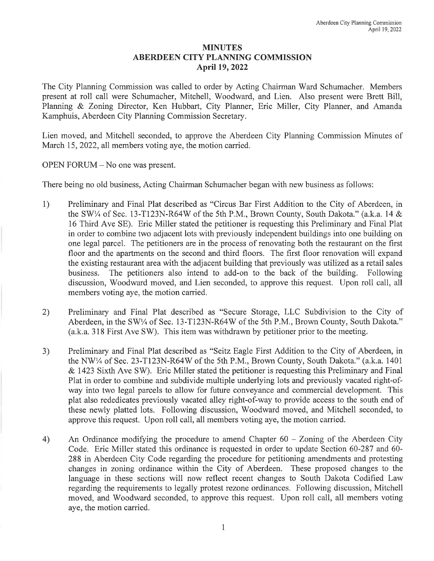## MINUTES ABERDEEN CITY PLANNING COMMISSION April 19, 2022

The City Planning Commission was called to order by Acting Chairman Ward Schumacher. Members present at roll call were Schumacher, Mitchell, Woodward, and Lien. Also present were Brett Bill, Planning & Zoning Director, Ken Hubbart, City Planner, Eric Miller, City Planner, and Amanda Kamphuis, Aberdeen City Planning Commission Secretary.

Lien moved, and Mitchell seconded, to approve the Aberdeen City Planning Commission Minutes of March 15, 2022, all members voting aye, the motion carried.

OPEN FORUM - No one was present.

There being no old business, Acting Chairman Schumacher began with new business as follows:

- 1) Preliminary and Final Plat described as "Circus Bar First Addition to the City of Aberdeen, in the SW<sup>1</sup>/4 of Sec. 13-T123N-R64W of the 5th P.M., Brown County, South Dakota." (a.k.a. 14  $\&$ 16 Third Ave SE). Eric Miller stated the petitioner is requesting this Preliminary and Final Plat in order to combine two adjacent lots with previously independent buildings into one building on one legal parcel. The petitioners are in the process of renovating both the restaurant on the first floor and the apartments on the second and third floors. The first floor renovation will expand the existing restaurant area with the adjacent building that previously was utilized as a retail sales business. The petitioners also intend to add-on to the back of the building. Following discussion, Woodward moved, and Lien seconded, to approve this request. Upon roll call, all members voting aye, the motion carried.
- 2) Preliminary and Final Plat described as "Secure Storage, LLC Subdivision to the City of Aberdeen, in the SW!4 of Sec. 13-T123N-R64W of the 5th P.M., Brown County, South Dakota."  $(a,k.a. 318$  First Ave SW). This item was withdrawn by petitioner prior to the meeting.
- 3) Preliminary and Final Plat described as "Seitz Eagle First Addition to the City of Aberdeen, in the NW!4 of Sec. 23-T123N-R64W of the 5th P.M., Brown County, South Dakota." (a.k.a. 1401 & 1423 Sixth Ave SW). Eric Miller stated the petitioner is requesting this Preliminary and Final Plat in order to combine and subdivide multiple underlying lots and previously vacated right-ofway into two legal parcels to allow for future conveyance and commercial development. This plat also rededicates previously vacated alley right-of-way to provide access to the south end of these newly platted lots. Following discussion, Woodward moved, and Mitchell seconded, to approve this request. Upon roll call, all members voting aye, the motion carried.
- 4) An Ordinance modifying the procedure to amend Chapter  $60 - Z<sub>o</sub>$  and  $\alpha$  aberdeen City Code. Eric Miller stated this ordinance is requested in order to update Section 60-287 and 60- 288 in Aberdeen City Code regarding the procedure for petitioning amendments and protesting changes in zoning ordinance within the City of Aberdeen. These proposed changes to the language in these sections will now reflect recent changes to South Dakota Codified Law regarding the requirements to legally protest rezone ordinances. Following discussion, Mitchell moved, and Woodward seconded, to approve this request. Upon roll call, all members voting aye, the motion carried.